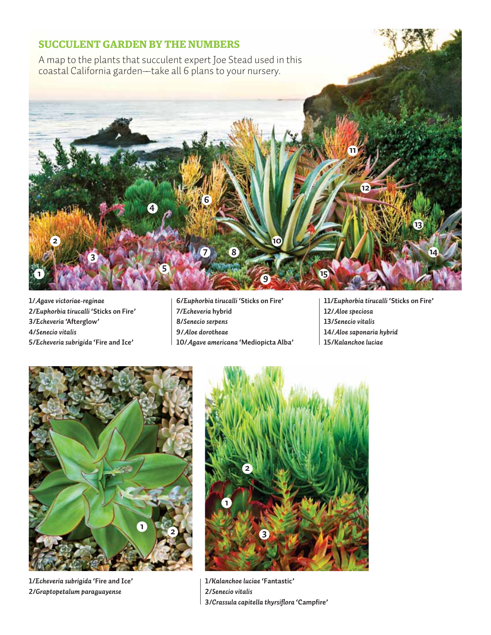## **Succulent Garden by the numbers**

A map to the plants that succulent expert Joe Stead used in this coastal California garden––take all 6 plans to your nursery.



**1/***Agave victoriae-reginae* **2/***Euphorbia tirucalli* **'Sticks on Fire' 3/***Echeveria* **'Afterglow' 4/***Senecio vitalis* **5/***Echeveria subrigida* **'Fire and Ice'**

**6/***Euphorbia tirucalli* **'Sticks on Fire' 7/***Echeveria* **hybrid 8/***Senecio serpens* **9/***Aloe dorotheae* **10/***Agave americana* **'Mediopicta Alba'**

**11/***Euphorbia tirucalli* **'Sticks on Fire' 12/***Aloe speciosa* **13/***Senecio vitalis* **14/***Aloe saponaria hybrid*  **15/***Kalanchoe luciae*



**1/***Echeveria subrigida* **'Fire and Ice' 2/***Graptopetalum paraguayense* 



**1/***Kalanchoe luciae* **'Fantastic' 2/***Senecio vitalis* **3/***Crassula capitella thyrsiflora* **'Campfire'**